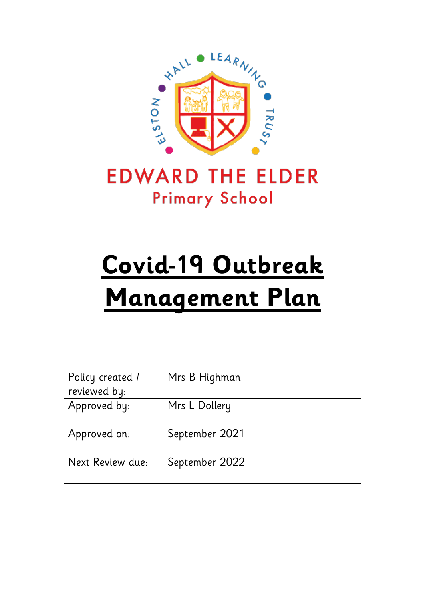

# **EDWARD THE ELDER Primary School**

# **Covid-19 Outbreak Management Plan**

| Policy created / | Mrs B Highman  |
|------------------|----------------|
| reviewed by:     |                |
| Approved by:     | Mrs L Dollery  |
| Approved on:     | September 2021 |
| Next Review due: | September 2022 |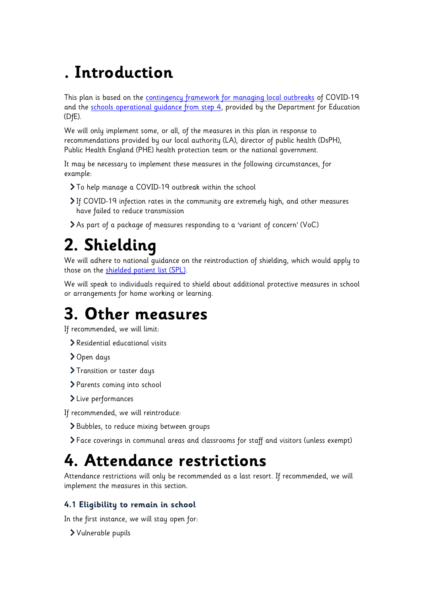## **. Introduction**

This plan is based on the [contingency framework for managing local outbreaks](https://www.gov.uk/government/publications/coronavirus-covid-19-local-restrictions-in-education-and-childcare-settings) of COVID-19 and the schools operational quidance from step 4, provided by the Department for Education (DfE).

We will only implement some, or all, of the measures in this plan in response to recommendations provided by our local authority (LA), director of public health (DsPH), Public Health England (PHE) health protection team or the national government.

It may be necessary to implement these measures in the following circumstances, for example:

- To help manage a COVID-19 outbreak within the school
- If COVID-19 infection rates in the community are extremely high, and other measures have failed to reduce transmission
- As part of a package of measures responding to a 'variant of concern' (VoC)

### **2. Shielding**

We will adhere to national guidance on the reintroduction of shielding, which would apply to those on the [shielded patient list \(SPL\).](https://digital.nhs.uk/coronavirus/shielded-patient-list)

We will speak to individuals required to shield about additional protective measures in school or arrangements for home working or learning.

### **3. Other measures**

If recommended, we will limit:

- Residential educational visits
- > Open days
- > Transition or taster days
- Parents coming into school
- Live performances

If recommended, we will reintroduce:

- Bubbles, to reduce mixing between groups
- Face coverings in communal areas and classrooms for staff and visitors (unless exempt)

### **4. Attendance restrictions**

Attendance restrictions will only be recommended as a last resort. If recommended, we will implement the measures in this section.

### **4.1 Eligibility to remain in school**

In the first instance, we will stay open for:

Vulnerable pupils